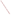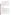# **Consumer Factsheet on: 1,2-DICHLOROPROPANE**

# [List of Contaminants](http://www.epa.gov/safewater/hfacts.html)

 As part of the Drinking Water and Health pages, this fact sheet is part of a larger publication: **National Primary Drinking Water Regulations** 

 States Environmental Protection Agency (EPA). This is a factsheet about a chemical that may be found in some public or private drinking water supplies. It may cause health problems if found in amounts greater than the health standard set by the United

### **What is 1,2-DCP and how is it used?**

1,2-Dichloropropane (1,2-DCP) is a colorless organic liquid with a chloroform-like odor. The greatest use of 1,2-dichloropropane is in making other organic chemicals. It is also used in making lead-free gasoline, paper coating, soil fumigant for nematodes, and insecticide for stored grain.

 The list of trade names given below may help you find out whether you are using this chemical at home or work.

## **Trade Names and Synonyms:**

Propylene dichloride **Nematox** Vidden D Dowfume EB-5

# **Why is 1,2-DCP being Regulated?**

 based solely on possible health risks and exposure, are called Maximum Contaminant Level Goals. In 1974, Congress passed the Safe Drinking Water Act. This law requires EPA to determine safe levels of chemicals in drinking water which do or may cause health problems. These non-enforceable levels,

The MCLG for 1,2-DCP has been set at zero because EPA believes this level of protection would not cause any of the potential health problems described below.

 Based on this MCLG, EPA has set an enforceable standard called a Maximum Contaminant Level (MCL). MCLs are set as close to the MCLGs as possible, considering the ability of public water systems to detect and remove contaminants using suitable treatment technologies.

 contaminant should it occur in drinking water. The MCL has been set at 5 parts per billion (ppb) because EPA believes, given present technology and resources, this is the lowest level to which water systems can reasonably be required to remove this

These drinking water standards and the regulations for ensuring these standards are met, are called National Primary Drinking Water Regulations. All public water supplies must abide by these regulations.

#### **What are the Health Effects?**

 Short-term: EPA has found 1,2-DCP to potentially cause the following health effects when people are exposed to it at levels above the MCL for relatively short periods of time: damage to the liver, kidneys, adrenal glands, bladder, and the gastrointestinal and respiratory tracts.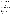above the MCL: the liver, kidneys, bladder, gastrointestinal tract and the respiratory tract; cancer. Long-term: 1,2-DCP has the potential to cause the following effects from a lifetime exposure at levels

### **How much 1,2-DCP is produced and released to the environment?**

 significant releases during its former use as a soil fumigant. It may also leach from municipal landfills. Production of 1,2-DCP has decreased greatly since a 1980 report of 77 million lbs. Dow Chemical, the only listed producer, discontinued its production in 1991. It may be released into the atmosphere or in wastewater during its production or use as an intermediate in chemical manufacture. There were also

From 1987 to 1993, according to EPA's Toxic Chemical Release Inventory, 1,2-dichloropropane releases to land and water totalled nearly 104,000 lbs. These releases were primarily from chemical industries. The largest releases occurred in New York.

### **What happens to 1,2-DCP when it is released to the environment?**

 1,2-DCP released to soil will largely evaporate. However, it has been detected in groundwater. Releases to surface water will also evaporate, and are not likely to accumulate in aquatic life.

### **How will 1,2-DCP be Detected in and Removed from My Drinking Water?**

 The regulation for 1,2-DCP became effective in 1992. Between 1993 and 1995, EPA required your water supplier to collect water samples every 3 months for one year and analyze them to find out if 1,2-DCP is contaminant. present above 0.5 ppb. If it is present above this level, the system must continue to monitor this

 Packed Tower Aeration. If contaminant levels are found to be consistently above the MCL, your water supplier must take steps to reduce the amount of 1,2-DCP so that it is consistently below that level. The following treatment methods have been approved by EPA for removing 1,2-DCP: Granular activated charcoal in combination with

#### **How will I know if 1,2-DCP is in my drinking water?**

 If the levels of 1,2-DCP exceed the MCL, 5 ppb, the system must notify the public via newspapers, radio, required to prevent serious risks to public health. TV and other means. Additional actions, such as providing alternative drinking water supplies, may be

#### **Drinking Water Standards:**

Mclg: zero

Mclg: zero<br>Mcl: 5 ppm

# **1,2-DCP Releases to Water and Land, 1987 to 1993 (in pounds): Water Land**

| <b>TOTALS (in pounds)</b><br>98,504 | 5.470 |
|-------------------------------------|-------|
|                                     |       |
| <b>Top Five States</b>              |       |
| NY<br>30.000                        | 3.205 |
| LA<br>25,586<br>260                 |       |
| VA<br>250<br>14.629                 |       |
| ТX<br>12.290                        | 1.206 |
| NJ<br>10.463<br>0                   |       |
| <b>Major Industries</b>             |       |
| Alkalies, chlorine<br>37.297        | 1.216 |